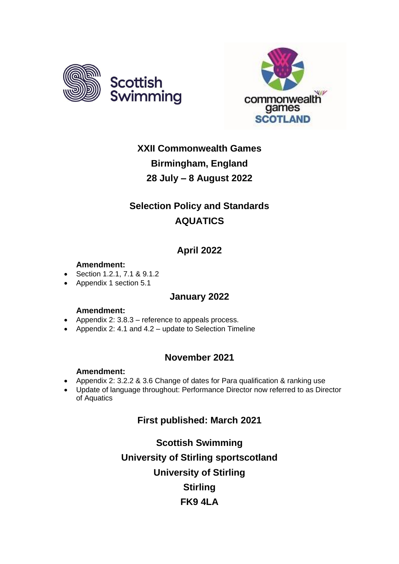



## **XXII Commonwealth Games Birmingham, England 28 July – 8 August 2022**

## **Selection Policy and Standards AQUATICS**

## **April 2022**

### **Amendment:**

- Section 1.2.1, 7.1 & 9.1.2
- Appendix 1 section 5.1

## **January 2022**

### **Amendment:**

- Appendix 2: 3.8.3 reference to appeals process.
- Appendix 2: 4.1 and 4.2 update to Selection Timeline

## **November 2021**

### **Amendment:**

- Appendix 2: 3.2.2 & 3.6 Change of dates for Para qualification & ranking use
- Update of language throughout: Performance Director now referred to as Director of Aquatics

## **First published: March 2021**

**Scottish Swimming University of Stirling sportscotland University of Stirling Stirling FK9 4LA**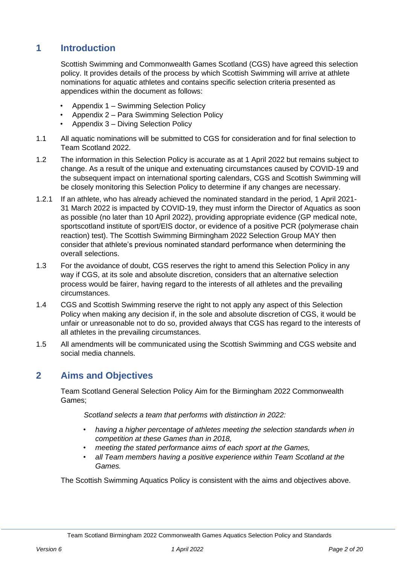## **1 Introduction**

Scottish Swimming and Commonwealth Games Scotland (CGS) have agreed this selection policy. It provides details of the process by which Scottish Swimming will arrive at athlete nominations for aquatic athletes and contains specific selection criteria presented as appendices within the document as follows:

- Appendix 1 Swimming Selection Policy
- Appendix 2 Para Swimming Selection Policy
- Appendix 3 Diving Selection Policy
- 1.1 All aquatic nominations will be submitted to CGS for consideration and for final selection to Team Scotland 2022.
- 1.2 The information in this Selection Policy is accurate as at 1 April 2022 but remains subject to change. As a result of the unique and extenuating circumstances caused by COVID-19 and the subsequent impact on international sporting calendars, CGS and Scottish Swimming will be closely monitoring this Selection Policy to determine if any changes are necessary.
- 1.2.1 If an athlete, who has already achieved the nominated standard in the period, 1 April 2021- 31 March 2022 is impacted by COVID-19, they must inform the Director of Aquatics as soon as possible (no later than 10 April 2022), providing appropriate evidence (GP medical note, sportscotland institute of sport/EIS doctor, or evidence of a positive PCR (polymerase chain reaction) test). The Scottish Swimming Birmingham 2022 Selection Group MAY then consider that athlete's previous nominated standard performance when determining the overall selections.
- 1.3 For the avoidance of doubt, CGS reserves the right to amend this Selection Policy in any way if CGS, at its sole and absolute discretion, considers that an alternative selection process would be fairer, having regard to the interests of all athletes and the prevailing circumstances.
- 1.4 CGS and Scottish Swimming reserve the right to not apply any aspect of this Selection Policy when making any decision if, in the sole and absolute discretion of CGS, it would be unfair or unreasonable not to do so, provided always that CGS has regard to the interests of all athletes in the prevailing circumstances.
- 1.5 All amendments will be communicated using the Scottish Swimming and CGS website and social media channels.

## <span id="page-1-0"></span>**2 Aims and Objectives**

Team Scotland General Selection Policy Aim for the Birmingham 2022 Commonwealth Games;

*Scotland selects a team that performs with distinction in 2022:* 

- *having a higher percentage of athletes meeting the selection standards when in competition at these Games than in 2018,*
- *meeting the stated performance aims of each sport at the Games,*
- *all Team members having a positive experience within Team Scotland at the Games.*

The Scottish Swimming Aquatics Policy is consistent with the aims and objectives above.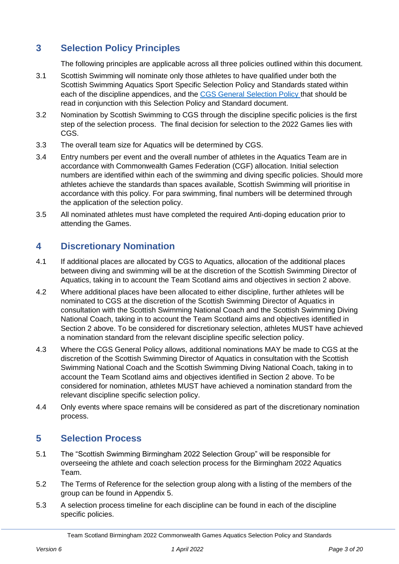## **3 Selection Policy Principles**

<span id="page-2-0"></span>The following principles are applicable across all three policies outlined within this document.

- 3.1 Scottish Swimming will nominate only those athletes to have qualified under both the Scottish Swimming Aquatics Sport Specific Selection Policy and Standards stated within each of the discipline appendices, and the [CGS General Selection Policy t](https://www.teamscotland.scot/wp-content/uploads/2020/11/Final-2022-General-Selection-Policy.pdf)hat should be read in conjunction with this Selection Policy and Standard document.
- 3.2 Nomination by Scottish Swimming to CGS through the discipline specific policies is the first step of the selection process. The final decision for selection to the 2022 Games lies with CGS.
- 3.3 The overall team size for Aquatics will be determined by CGS.
- 3.4 Entry numbers per event and the overall number of athletes in the Aquatics Team are in accordance with Commonwealth Games Federation (CGF) allocation. Initial selection numbers are identified within each of the swimming and diving specific policies. Should more athletes achieve the standards than spaces available, Scottish Swimming will prioritise in accordance with this policy. For para swimming, final numbers will be determined through the application of the selection policy.
- 3.5 All nominated athletes must have completed the required Anti-doping education prior to attending the Games.

## **4 Discretionary Nomination**

- 4.1 If additional places are allocated by CGS to Aquatics, allocation of the additional places between diving and swimming will be at the discretion of the Scottish Swimming Director of Aquatics, taking in to account the Team Scotland aims and objectives in section [2 above.](#page-1-0)
- 4.2 Where additional places have been allocated to either discipline, further athletes will be nominated to CGS at the discretion of the Scottish Swimming Director of Aquatics in consultation with the Scottish Swimming National Coach and the Scottish Swimming Diving National Coach, taking in to account the Team Scotland aims and objectives identified in Section [2 above.](#page-1-0) To be considered for discretionary selection, athletes MUST have achieved a nomination standard from the relevant discipline specific selection policy.
- 4.3 Where the CGS General Policy allows, additional nominations MAY be made to CGS at the discretion of the Scottish Swimming Director of Aquatics in consultation with the Scottish Swimming National Coach and the Scottish Swimming Diving National Coach, taking in to account the Team Scotland aims and objectives identified in Section [2 above.](#page-1-0) To be considered for nomination, athletes MUST have achieved a nomination standard from the relevant discipline specific selection policy.
- 4.4 Only events where space remains will be considered as part of the discretionary nomination process.

### **5 Selection Process**

- 5.1 The "Scottish Swimming Birmingham 2022 Selection Group" will be responsible for overseeing the athlete and coach selection process for the Birmingham 2022 Aquatics Team.
- 5.2 The Terms of Reference for the selection group along with a listing of the members of the group can be found in Appendix 5.
- 5.3 A selection process timeline for each discipline can be found in each of the discipline specific policies.

Team Scotland Birmingham 2022 Commonwealth Games Aquatics Selection Policy and Standards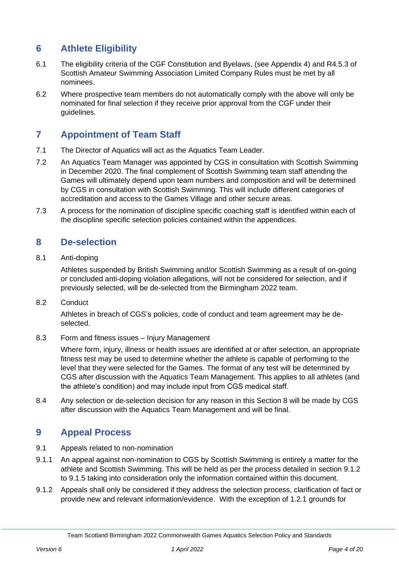## **6 Athlete Eligibility**

- 6.1 The eligibility criteria of the CGF Constitution and Byelaws, (see Appendix 4) and R4.5.3 of Scottish Amateur Swimming Association Limited Company Rules must be met by all nominees.
- 6.2 Where prospective team members do not automatically comply with the above will only be nominated for final selection if they receive prior approval from the CGF under their guidelines.

## **7 Appointment of Team Staff**

- 7.1 The Director of Aquatics will act as the Aquatics Team Leader.
- 7.2 An Aquatics Team Manager was appointed by CGS in consultation with Scottish Swimming in December 2020. The final complement of Scottish Swimming team staff attending the Games will ultimately depend upon team numbers and composition and will be determined by CGS in consultation with Scottish Swimming. This will include different categories of accreditation and access to the Games Village and other secure areas.
- 7.3 A process for the nomination of discipline specific coaching staff is identified within each of the discipline specific selection policies contained within the appendices.

## <span id="page-3-0"></span>**8 De-selection**

8.1 Anti-doping

Athletes suspended by British Swimming and/or Scottish Swimming as a result of on-going or concluded anti-doping violation allegations, will not be considered for selection, and if previously selected, will be de-selected from the Birmingham 2022 team.

8.2 Conduct

Athletes in breach of CGS's policies, code of conduct and team agreement may be deselected.

8.3 Form and fitness issues – Injury Management

Where form, injury, illness or health issues are identified at or after selection, an appropriate fitness test may be used to determine whether the athlete is capable of performing to the level that they were selected for the Games. The format of any test will be determined by CGS after discussion with the Aquatics Team Management. This applies to all athletes (and the athlete's condition) and may include input from CGS medical staff.

8.4 Any selection or de-selection decision for any reason in this Section [8](#page-3-0) will be made by CGS after discussion with the Aquatics Team Management and will be final.

## <span id="page-3-1"></span>**9 Appeal Process**

- 9.1 Appeals related to non-nomination
- 9.1.1 An appeal against non-nomination to CGS by Scottish Swimming is entirely a matter for the athlete and Scottish Swimming. This will be held as per the process detailed in section 9.1.2 to 9.1.5 taking into consideration only the information contained within this document.
- 9.1.2 Appeals shall only be considered if they address the selection process, clarification of fact or provide new and relevant information/evidence. With the exception of 1.2.1 grounds for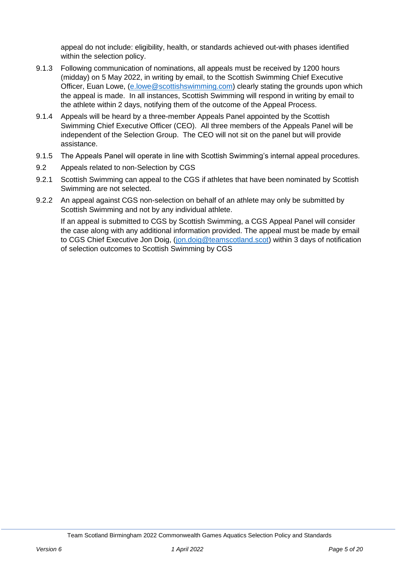appeal do not include: eligibility, health, or standards achieved out-with phases identified within the selection policy.

- 9.1.3 Following communication of nominations, all appeals must be received by 1200 hours (midday) on 5 May 2022, in writing by email, to the Scottish Swimming Chief Executive Officer, Euan Lowe, [\(e.lowe@scottishswimming.com\)](mailto:e.lowe@scottishswimming.com) clearly stating the grounds upon which the appeal is made. In all instances, Scottish Swimming will respond in writing by email to the athlete within 2 days, notifying them of the outcome of the Appeal Process.
- 9.1.4 Appeals will be heard by a three-member Appeals Panel appointed by the Scottish Swimming Chief Executive Officer (CEO). All three members of the Appeals Panel will be independent of the Selection Group. The CEO will not sit on the panel but will provide assistance.
- 9.1.5 The Appeals Panel will operate in line with Scottish Swimming's internal appeal procedures.
- 9.2 Appeals related to non-Selection by CGS
- 9.2.1 Scottish Swimming can appeal to the CGS if athletes that have been nominated by Scottish Swimming are not selected.
- 9.2.2 An appeal against CGS non-selection on behalf of an athlete may only be submitted by Scottish Swimming and not by any individual athlete.

If an appeal is submitted to CGS by Scottish Swimming, a CGS Appeal Panel will consider the case along with any additional information provided. The appeal must be made by email to CGS Chief Executive Jon Doig, [\(jon.doig@teamscotland.scot\)](mailto:jon.doig@teamscotland.scot) within 3 days of notification of selection outcomes to Scottish Swimming by CGS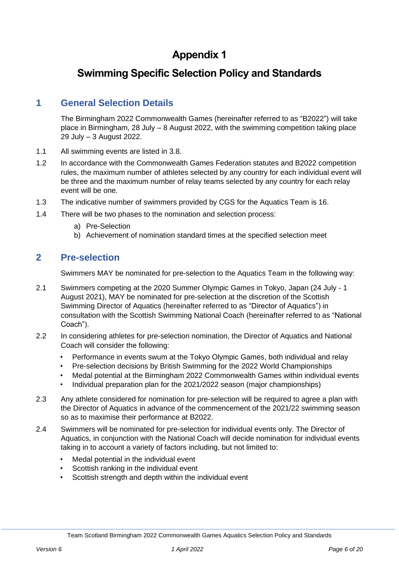## **Swimming Specific Selection Policy and Standards**

## **1 General Selection Details**

The Birmingham 2022 Commonwealth Games (hereinafter referred to as "B2022") will take place in Birmingham, 28 July – 8 August 2022, with the swimming competition taking place 29 July – 3 August 2022.

- 1.1 All swimming events are listed in 3.8.
- 1.2 In accordance with the Commonwealth Games Federation statutes and B2022 competition rules, the maximum number of athletes selected by any country for each individual event will be three and the maximum number of relay teams selected by any country for each relay event will be one.
- 1.3 The indicative number of swimmers provided by CGS for the Aquatics Team is 16.
- 1.4 There will be two phases to the nomination and selection process:
	- a) Pre-Selection
	- b) Achievement of nomination standard times at the specified selection meet

#### **2 Pre-selection**

Swimmers MAY be nominated for pre-selection to the Aquatics Team in the following way:

- 2.1 Swimmers competing at the 2020 Summer Olympic Games in Tokyo, Japan (24 July 1 August 2021), MAY be nominated for pre-selection at the discretion of the Scottish Swimming Director of Aquatics (hereinafter referred to as "Director of Aquatics") in consultation with the Scottish Swimming National Coach (hereinafter referred to as "National Coach").
- 2.2 In considering athletes for pre-selection nomination, the Director of Aquatics and National Coach will consider the following:
	- Performance in events swum at the Tokyo Olympic Games, both individual and relay
	- Pre-selection decisions by British Swimming for the 2022 World Championships
	- Medal potential at the Birmingham 2022 Commonwealth Games within individual events
	- Individual preparation plan for the 2021/2022 season (major championships)
- 2.3 Any athlete considered for nomination for pre-selection will be required to agree a plan with the Director of Aquatics in advance of the commencement of the 2021/22 swimming season so as to maximise their performance at B2022.
- 2.4 Swimmers will be nominated for pre-selection for individual events only. The Director of Aquatics, in conjunction with the National Coach will decide nomination for individual events taking in to account a variety of factors including, but not limited to:
	- Medal potential in the individual event
	- Scottish ranking in the individual event
	- Scottish strength and depth within the individual event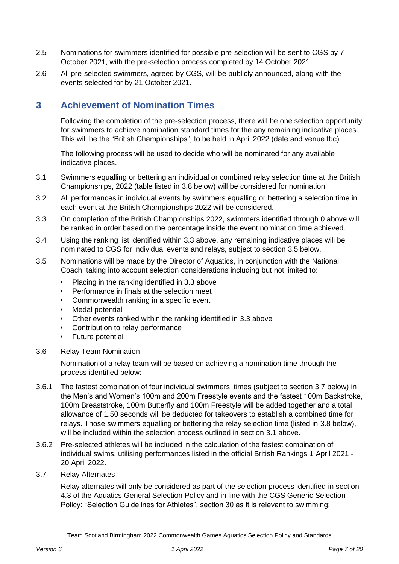- 2.5 Nominations for swimmers identified for possible pre-selection will be sent to CGS by 7 October 2021, with the pre-selection process completed by 14 October 2021.
- 2.6 All pre-selected swimmers, agreed by CGS, will be publicly announced, along with the events selected for by 21 October 2021.

## **3 Achievement of Nomination Times**

Following the completion of the pre-selection process, there will be one selection opportunity for swimmers to achieve nomination standard times for the any remaining indicative places. This will be the "British Championships", to be held in April 2022 (date and venue tbc).

The following process will be used to decide who will be nominated for any available indicative places.

- <span id="page-6-3"></span>3.1 Swimmers equalling or bettering an individual or combined relay selection time at the British Championships, 2022 (table listed in [3.8 below\)](#page-7-0) will be considered for nomination.
- 3.2 All performances in individual events by swimmers equalling or bettering a selection time in each event at the British Championships 2022 will be considered.
- <span id="page-6-0"></span>3.3 On completion of the British Championships 2022, swimmers identified through [0 above](#page-2-0) will be ranked in order based on the percentage inside the event nomination time achieved.
- 3.4 Using the ranking list identified within [3.3 above,](#page-6-0) any remaining indicative places will be nominated to CGS for individual events and relays, subject to section [3.5 below.](#page-6-1)
- <span id="page-6-1"></span>3.5 Nominations will be made by the Director of Aquatics, in conjunction with the National Coach, taking into account selection considerations including but not limited to:
	- Placing in the ranking identified in [3.3 above](#page-6-0)
	- Performance in finals at the selection meet
	- Commonwealth ranking in a specific event
	- Medal potential
	- Other events ranked within the ranking identified in [3.3 above](#page-6-0)
	- Contribution to relay performance
	- Future potential
- 3.6 Relay Team Nomination

Nomination of a relay team will be based on achieving a nomination time through the process identified below:

- 3.6.1 The fastest combination of four individual swimmers' times (subject to section [3.7 below\)](#page-6-2) in the Men's and Women's 100m and 200m Freestyle events and the fastest 100m Backstroke, 100m Breaststroke, 100m Butterfly and 100m Freestyle will be added together and a total allowance of 1.50 seconds will be deducted for takeovers to establish a combined time for relays. Those swimmers equalling or bettering the relay selection time (listed in [3.8 below\)](#page-7-0), will be included within the selection process outlined in section [3.1 above.](#page-6-3)
- 3.6.2 Pre-selected athletes will be included in the calculation of the fastest combination of individual swims, utilising performances listed in the official British Rankings 1 April 2021 - 20 April 2022.
- <span id="page-6-2"></span>3.7 Relay Alternates

Relay alternates will only be considered as part of the selection process identified in section 4.3 of the Aquatics General Selection Policy and in line with the CGS Generic Selection Policy: "Selection Guidelines for Athletes", section 30 as it is relevant to swimming: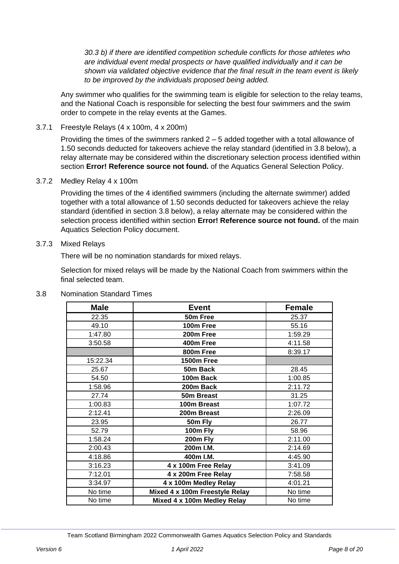*30.3 b) if there are identified competition schedule conflicts for those athletes who are individual event medal prospects or have qualified individually and it can be shown via validated objective evidence that the final result in the team event is likely to be improved by the individuals proposed being added.*

Any swimmer who qualifies for the swimming team is eligible for selection to the relay teams, and the National Coach is responsible for selecting the best four swimmers and the swim order to compete in the relay events at the Games.

#### 3.7.1 Freestyle Relays (4 x 100m, 4 x 200m)

Providing the times of the swimmers ranked  $2 - 5$  added together with a total allowance of 1.50 seconds deducted for takeovers achieve the relay standard (identified in [3.8 below\)](#page-7-0), a relay alternate may be considered within the discretionary selection process identified within section **Error! Reference source not found.** of the Aquatics General Selection Policy.

#### 3.7.2 Medley Relay 4 x 100m

Providing the times of the 4 identified swimmers (including the alternate swimmer) added together with a total allowance of 1.50 seconds deducted for takeovers achieve the relay standard (identified in section [3.8 below\)](#page-7-0), a relay alternate may be considered within the selection process identified within section **Error! Reference source not found.** of the main Aquatics Selection Policy document.

#### 3.7.3 Mixed Relays

There will be no nomination standards for mixed relays.

Selection for mixed relays will be made by the National Coach from swimmers within the final selected team.

| <b>Male</b> | <b>Event</b>                   | <b>Female</b> |
|-------------|--------------------------------|---------------|
| 22.35       | 50m Free                       | 25.37         |
| 49.10       | 100m Free                      | 55.16         |
| 1:47.80     | 200m Free                      | 1:59.29       |
| 3:50.58     | 400m Free                      | 4:11.58       |
|             | 800m Free                      | 8:39.17       |
| 15:22.34    | <b>1500m Free</b>              |               |
| 25.67       | 50m Back                       | 28.45         |
| 54.50       | 100m Back                      | 1:00.85       |
| 1:58.96     | 200m Back                      | 2:11.72       |
| 27.74       | 50m Breast                     | 31.25         |
| 1:00.83     | 100m Breast                    | 1:07.72       |
| 2:12.41     | 200m Breast                    | 2:26.09       |
| 23.95       | 50m Fly                        | 26.77         |
| 52.79       | 100m Fly                       | 58.96         |
| 1:58.24     | 200m Fly                       | 2:11.00       |
| 2:00.43     | 200m I.M.                      | 2:14.69       |
| 4:18.86     | 400m I.M.                      | 4:45.90       |
| 3:16.23     | 4 x 100m Free Relay            | 3:41.09       |
| 7:12.01     | 4 x 200m Free Relay            | 7:58.58       |
| 3:34.97     | 4 x 100m Medley Relay          | 4:01.21       |
| No time     | Mixed 4 x 100m Freestyle Relay | No time       |
| No time     | Mixed 4 x 100m Medley Relay    | No time       |

#### <span id="page-7-0"></span>3.8 Nomination Standard Times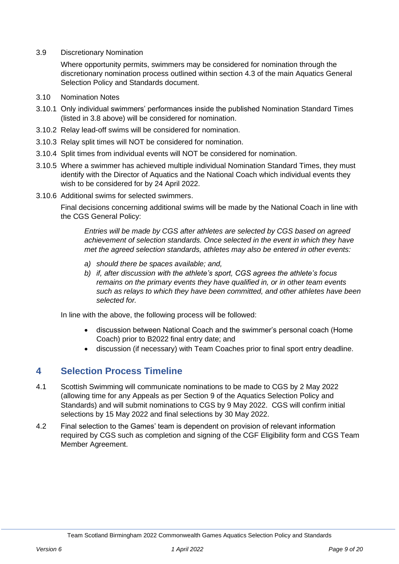3.9 Discretionary Nomination

Where opportunity permits, swimmers may be considered for nomination through the discretionary nomination process outlined within section 4.3 of the main Aquatics General Selection Policy and Standards document.

- 3.10 Nomination Notes
- 3.10.1 Only individual swimmers' performances inside the published Nomination Standard Times (listed in [3.8 above\)](#page-7-0) will be considered for nomination.
- 3.10.2 Relay lead-off swims will be considered for nomination.
- 3.10.3 Relay split times will NOT be considered for nomination.
- 3.10.4 Split times from individual events will NOT be considered for nomination.
- 3.10.5 Where a swimmer has achieved multiple individual Nomination Standard Times, they must identify with the Director of Aquatics and the National Coach which individual events they wish to be considered for by 24 April 2022.
- 3.10.6 Additional swims for selected swimmers.

Final decisions concerning additional swims will be made by the National Coach in line with the CGS General Policy:

*Entries will be made by CGS after athletes are selected by CGS based on agreed achievement of selection standards. Once selected in the event in which they have met the agreed selection standards, athletes may also be entered in other events:* 

- *a) should there be spaces available; and,*
- *b) if, after discussion with the athlete's sport, CGS agrees the athlete's focus remains on the primary events they have qualified in, or in other team events such as relays to which they have been committed, and other athletes have been selected for.*

In line with the above, the following process will be followed:

- discussion between National Coach and the swimmer's personal coach (Home Coach) prior to B2022 final entry date; and
- discussion (if necessary) with Team Coaches prior to final sport entry deadline.

### **4 Selection Process Timeline**

- 4.1 Scottish Swimming will communicate nominations to be made to CGS by 2 May 2022 (allowing time for any Appeals as per Section [9](#page-3-1) of the Aquatics Selection Policy and Standards) and will submit nominations to CGS by 9 May 2022. CGS will confirm initial selections by 15 May 2022 and final selections by 30 May 2022.
- 4.2 Final selection to the Games' team is dependent on provision of relevant information required by CGS such as completion and signing of the CGF Eligibility form and CGS Team Member Agreement.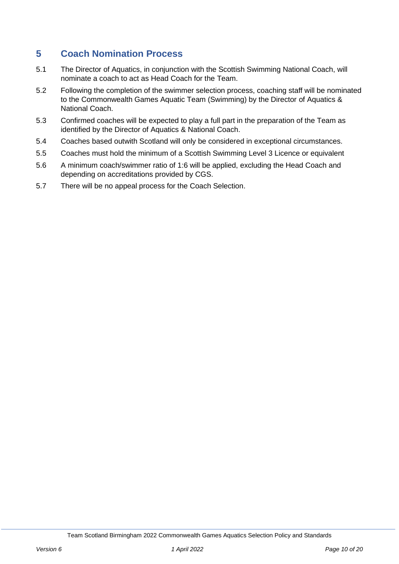## **5 Coach Nomination Process**

- 5.1 The Director of Aquatics, in conjunction with the Scottish Swimming National Coach, will nominate a coach to act as Head Coach for the Team.
- 5.2 Following the completion of the swimmer selection process, coaching staff will be nominated to the Commonwealth Games Aquatic Team (Swimming) by the Director of Aquatics & National Coach.
- 5.3 Confirmed coaches will be expected to play a full part in the preparation of the Team as identified by the Director of Aquatics & National Coach.
- 5.4 Coaches based outwith Scotland will only be considered in exceptional circumstances.
- 5.5 Coaches must hold the minimum of a Scottish Swimming Level 3 Licence or equivalent
- 5.6 A minimum coach/swimmer ratio of 1:6 will be applied, excluding the Head Coach and depending on accreditations provided by CGS.
- 5.7 There will be no appeal process for the Coach Selection.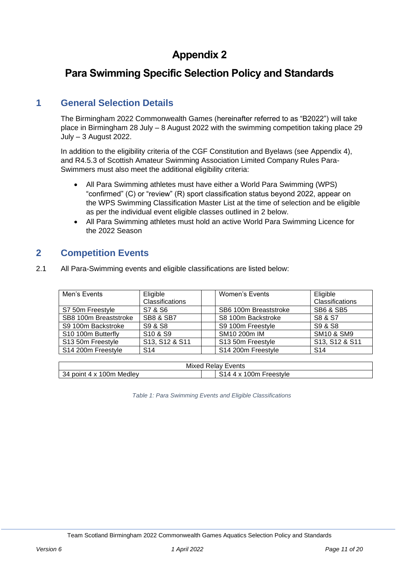## **Para Swimming Specific Selection Policy and Standards**

## **1 General Selection Details**

The Birmingham 2022 Commonwealth Games (hereinafter referred to as "B2022") will take place in Birmingham 28 July – 8 August 2022 with the swimming competition taking place 29 July – 3 August 2022.

In addition to the eligibility criteria of the CGF Constitution and Byelaws (see Appendix 4), and R4.5.3 of Scottish Amateur Swimming Association Limited Company Rules Para-Swimmers must also meet the additional eligibility criteria:

- All Para Swimming athletes must have either a World Para Swimming (WPS) "confirmed" (C) or "review" (R) sport classification status beyond 2022, appear on the WPS Swimming Classification Master List at the time of selection and be eligible as per the individual event eligible classes outlined in [2 below.](#page-10-0)
- All Para Swimming athletes must hold an active World Para Swimming Licence for the 2022 Season

### <span id="page-10-0"></span>**2 Competition Events**

2.1 All Para-Swimming events and eligible classifications are listed below:

| Men's Events          | Eligible<br><b>Classifications</b> | Women's Events        | Eligible<br>Classifications |
|-----------------------|------------------------------------|-----------------------|-----------------------------|
| S7 50m Freestyle      | S7 & S6                            | SB6 100m Breaststroke | <b>SB6 &amp; SB5</b>        |
| SB8 100m Breaststroke | <b>SB8 &amp; SB7</b>               | S8 100m Backstroke    | S8 & S7                     |
| S9 100m Backstroke    | S9 & S8                            | S9 100m Freestyle     | S9 & S8                     |
| S10 100m Butterfly    | S10 & S9                           | SM10 200m IM          | <b>SM10 &amp; SM9</b>       |
| S13 50m Freestyle     | S13, S12 & S11                     | S13 50m Freestyle     | S13, S12 & S11              |
| S14 200m Freestyle    | S <sub>14</sub>                    | S14 200m Freestyle    | S <sub>14</sub>             |

<span id="page-10-1"></span>

| Events<br>Mixed<br><b>Relay</b>                                   |          |  |  |  |
|-------------------------------------------------------------------|----------|--|--|--|
| Medlev<br>(10n<br>poin<br>`⊀Д<br>$\mathbf{v}$<br>$\sqrt{ }$<br>-ت | reestvle |  |  |  |

*Table 1: Para Swimming Events and Eligible Classifications*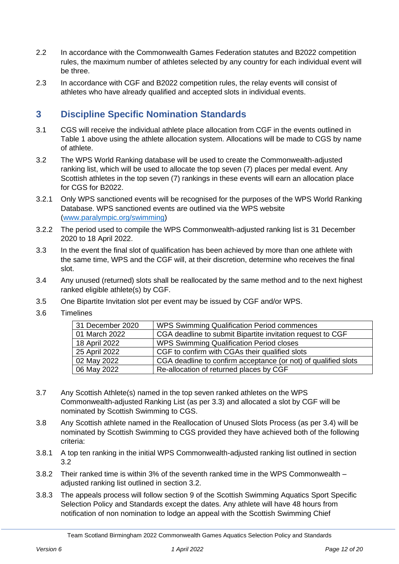- 2.2 In accordance with the Commonwealth Games Federation statutes and B2022 competition rules, the maximum number of athletes selected by any country for each individual event will be three.
- 2.3 In accordance with CGF and B2022 competition rules, the relay events will consist of athletes who have already qualified and accepted slots in individual events.

## **3 Discipline Specific Nomination Standards**

- 3.1 CGS will receive the individual athlete place allocation from CGF in the events outlined in [Table 1](#page-10-1) [above](#page-10-1) using the athlete allocation system. Allocations will be made to CGS by name of athlete.
- 3.2 The WPS World Ranking database will be used to create the Commonwealth-adjusted ranking list, which will be used to allocate the top seven (7) places per medal event. Any Scottish athletes in the top seven (7) rankings in these events will earn an allocation place for CGS for B2022.
- 3.2.1 Only WPS sanctioned events will be recognised for the purposes of the WPS World Ranking Database. WPS sanctioned events are outlined via the WPS website [\(www.paralympic.org/swimming\)](file:///C:/Users/lynna/AppData/Local/Microsoft/Windows/INetCache/Content.Outlook/5ISKA1D9/www.paralympic.org/swimming)
- 3.2.2 The period used to compile the WPS Commonwealth-adjusted ranking list is 31 December 2020 to 18 April 2022.
- 3.3 In the event the final slot of qualification has been achieved by more than one athlete with the same time, WPS and the CGF will, at their discretion, determine who receives the final slot.
- 3.4 Any unused (returned) slots shall be reallocated by the same method and to the next highest ranked eligible athlete(s) by CGF.
- 3.5 One Bipartite Invitation slot per event may be issued by CGF and/or WPS.
- 3.6 Timelines

| 31 December 2020 | <b>WPS Swimming Qualification Period commences</b>             |
|------------------|----------------------------------------------------------------|
| 01 March 2022    | CGA deadline to submit Bipartite invitation request to CGF     |
| 18 April 2022    | <b>WPS Swimming Qualification Period closes</b>                |
| 25 April 2022    | CGF to confirm with CGAs their qualified slots                 |
| 02 May 2022      | CGA deadline to confirm acceptance (or not) of qualified slots |
| 06 May 2022      | Re-allocation of returned places by CGF                        |

- 3.7 Any Scottish Athlete(s) named in the top seven ranked athletes on the WPS Commonwealth-adjusted Ranking List (as per 3.3) and allocated a slot by CGF will be nominated by Scottish Swimming to CGS.
- 3.8 Any Scottish athlete named in the Reallocation of Unused Slots Process (as per 3.4) will be nominated by Scottish Swimming to CGS provided they have achieved both of the following criteria:
- 3.8.1 A top ten ranking in the initial WPS Commonwealth-adjusted ranking list outlined in section 3.2
- 3.8.2 Their ranked time is within 3% of the seventh ranked time in the WPS Commonwealth adjusted ranking list outlined in section 3.2.
- 3.8.3 The appeals process will follow section 9 of the Scottish Swimming Aquatics Sport Specific Selection Policy and Standards except the dates. Any athlete will have 48 hours from notification of non nomination to lodge an appeal with the Scottish Swimming Chief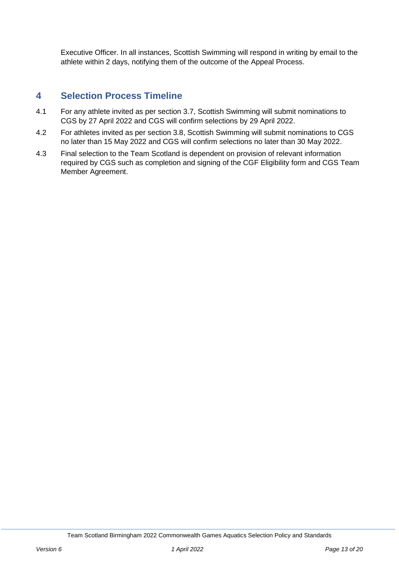Executive Officer. In all instances, Scottish Swimming will respond in writing by email to the athlete within 2 days, notifying them of the outcome of the Appeal Process.

### **4 Selection Process Timeline**

- 4.1 For any athlete invited as per section 3.7, Scottish Swimming will submit nominations to CGS by 27 April 2022 and CGS will confirm selections by 29 April 2022.
- 4.2 For athletes invited as per section 3.8, Scottish Swimming will submit nominations to CGS no later than 15 May 2022 and CGS will confirm selections no later than 30 May 2022.
- 4.3 Final selection to the Team Scotland is dependent on provision of relevant information required by CGS such as completion and signing of the CGF Eligibility form and CGS Team Member Agreement.

Team Scotland Birmingham 2022 Commonwealth Games Aquatics Selection Policy and Standards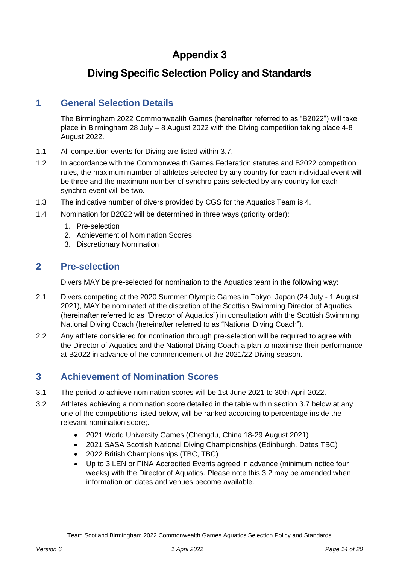## **Diving Specific Selection Policy and Standards**

## **1 General Selection Details**

The Birmingham 2022 Commonwealth Games (hereinafter referred to as "B2022") will take place in Birmingham 28 July – 8 August 2022 with the Diving competition taking place 4-8 August 2022.

- 1.1 All competition events for Diving are listed within 3.7.
- 1.2 In accordance with the Commonwealth Games Federation statutes and B2022 competition rules, the maximum number of athletes selected by any country for each individual event will be three and the maximum number of synchro pairs selected by any country for each synchro event will be two.
- 1.3 The indicative number of divers provided by CGS for the Aquatics Team is 4.
- 1.4 Nomination for B2022 will be determined in three ways (priority order):
	- 1. Pre-selection
	- 2. Achievement of Nomination Scores
	- 3. Discretionary Nomination

### **2 Pre-selection**

Divers MAY be pre-selected for nomination to the Aquatics team in the following way:

- 2.1 Divers competing at the 2020 Summer Olympic Games in Tokyo, Japan (24 July 1 August 2021), MAY be nominated at the discretion of the Scottish Swimming Director of Aquatics (hereinafter referred to as "Director of Aquatics") in consultation with the Scottish Swimming National Diving Coach (hereinafter referred to as "National Diving Coach").
- 2.2 Any athlete considered for nomination through pre-selection will be required to agree with the Director of Aquatics and the National Diving Coach a plan to maximise their performance at B2022 in advance of the commencement of the 2021/22 Diving season.

## **3 Achievement of Nomination Scores**

- 3.1 The period to achieve nomination scores will be 1st June 2021 to 30th April 2022.
- <span id="page-13-0"></span>3.2 Athletes achieving a nomination score detailed in the table within section [3.7 below](#page-14-0) at any one of the competitions listed below, will be ranked according to percentage inside the relevant nomination score;.
	- 2021 World University Games (Chengdu, China 18-29 August 2021)
	- 2021 SASA Scottish National Diving Championships (Edinburgh, Dates TBC)
	- 2022 British Championships (TBC, TBC)
	- Up to 3 LEN or FINA Accredited Events agreed in advance (minimum notice four weeks) with the Director of Aquatics. Please note this [3.2](#page-13-0) may be amended when information on dates and venues become available.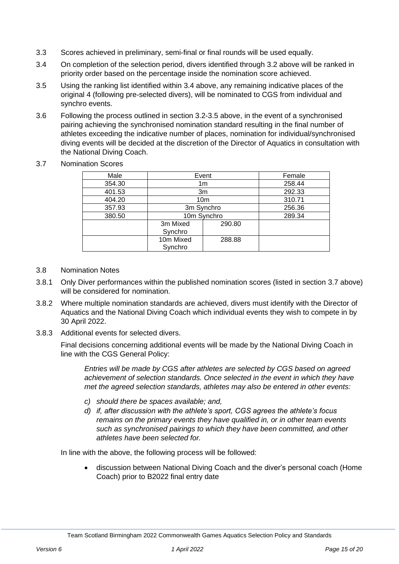- 3.3 Scores achieved in preliminary, semi-final or final rounds will be used equally.
- <span id="page-14-1"></span>3.4 On completion of the selection period, divers identified through [3.2 above](#page-13-0) will be ranked in priority order based on the percentage inside the nomination score achieved.
- <span id="page-14-2"></span>3.5 Using the ranking list identified within [3.4 above,](#page-14-1) any remaining indicative places of the original 4 (following pre-selected divers), will be nominated to CGS from individual and synchro events.
- 3.6 Following the process outlined in section [3.2-](#page-13-0)[3.5 above,](#page-14-2) in the event of a synchronised pairing achieving the synchronised nomination standard resulting in the final number of athletes exceeding the indicative number of places, nomination for individual/synchronised diving events will be decided at the discretion of the Director of Aquatics in consultation with the National Diving Coach.
- <span id="page-14-0"></span>3.7 Nomination Scores

| Male   | Event                |        | Female |
|--------|----------------------|--------|--------|
| 354.30 | 1 <sub>m</sub>       |        | 258.44 |
| 401.53 | 3m                   |        | 292.33 |
| 404.20 | 10 <sub>m</sub>      |        | 310.71 |
| 357.93 | 3m Synchro           |        | 256.36 |
| 380.50 | 10m Synchro          |        | 289.34 |
|        | 3m Mixed<br>Synchro  | 290.80 |        |
|        | 10m Mixed<br>Synchro | 288.88 |        |

- 3.8 Nomination Notes
- 3.8.1 Only Diver performances within the published nomination scores (listed in section [3.7 above\)](#page-14-0) will be considered for nomination.
- 3.8.2 Where multiple nomination standards are achieved, divers must identify with the Director of Aquatics and the National Diving Coach which individual events they wish to compete in by 30 April 2022.
- 3.8.3 Additional events for selected divers.

Final decisions concerning additional events will be made by the National Diving Coach in line with the CGS General Policy:

*Entries will be made by CGS after athletes are selected by CGS based on agreed achievement of selection standards. Once selected in the event in which they have met the agreed selection standards, athletes may also be entered in other events:* 

- *c) should there be spaces available; and,*
- *d) if, after discussion with the athlete's sport, CGS agrees the athlete's focus remains on the primary events they have qualified in, or in other team events such as synchronised pairings to which they have been committed, and other athletes have been selected for.*

In line with the above, the following process will be followed:

• discussion between National Diving Coach and the diver's personal coach (Home Coach) prior to B2022 final entry date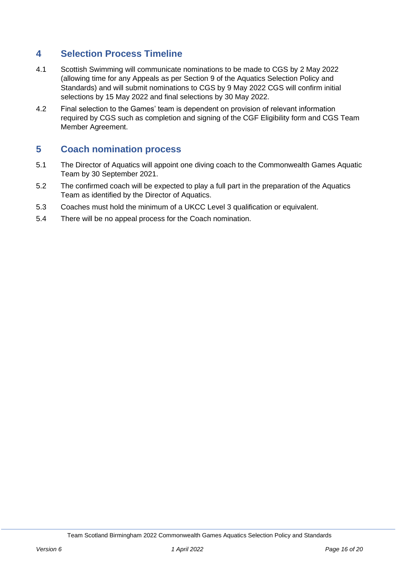## **4 Selection Process Timeline**

- 4.1 Scottish Swimming will communicate nominations to be made to CGS by 2 May 2022 (allowing time for any Appeals as per Section [9](#page-3-1) of the Aquatics Selection Policy and Standards) and will submit nominations to CGS by 9 May 2022 CGS will confirm initial selections by 15 May 2022 and final selections by 30 May 2022.
- 4.2 Final selection to the Games' team is dependent on provision of relevant information required by CGS such as completion and signing of the CGF Eligibility form and CGS Team Member Agreement.

## **5 Coach nomination process**

- 5.1 The Director of Aquatics will appoint one diving coach to the Commonwealth Games Aquatic Team by 30 September 2021.
- 5.2 The confirmed coach will be expected to play a full part in the preparation of the Aquatics Team as identified by the Director of Aquatics.
- 5.3 Coaches must hold the minimum of a UKCC Level 3 qualification or equivalent.
- 5.4 There will be no appeal process for the Coach nomination.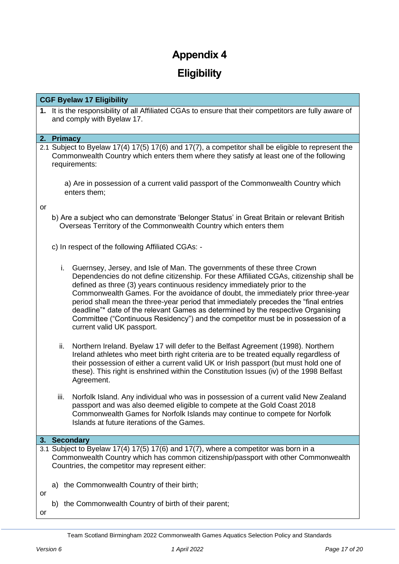## **Eligibility**

#### **CGF Byelaw 17 Eligibility**

**1.** It is the responsibility of all Affiliated CGAs to ensure that their competitors are fully aware of and comply with Byelaw 17.

#### **2. Primacy**

2.1 Subject to Byelaw 17(4) 17(5) 17(6) and 17(7), a competitor shall be eligible to represent the Commonwealth Country which enters them where they satisfy at least one of the following requirements:

a) Are in possession of a current valid passport of the Commonwealth Country which enters them;

or

b) Are a subject who can demonstrate 'Belonger Status' in Great Britain or relevant British Overseas Territory of the Commonwealth Country which enters them

c) In respect of the following Affiliated CGAs: -

- i. Guernsey, Jersey, and Isle of Man. The governments of these three Crown Dependencies do not define citizenship. For these Affiliated CGAs, citizenship shall be defined as three (3) years continuous residency immediately prior to the Commonwealth Games. For the avoidance of doubt, the immediately prior three-year period shall mean the three-year period that immediately precedes the "final entries deadline"\* date of the relevant Games as determined by the respective Organising Committee ("Continuous Residency") and the competitor must be in possession of a current valid UK passport.
- ii. Northern Ireland. Byelaw 17 will defer to the Belfast Agreement (1998). Northern Ireland athletes who meet birth right criteria are to be treated equally regardless of their possession of either a current valid UK or Irish passport (but must hold one of these). This right is enshrined within the Constitution Issues (iv) of the 1998 Belfast Agreement.
- iii. Norfolk Island. Any individual who was in possession of a current valid New Zealand passport and was also deemed eligible to compete at the Gold Coast 2018 Commonwealth Games for Norfolk Islands may continue to compete for Norfolk Islands at future iterations of the Games.

#### **3. Secondary**

- 3.1 Subject to Byelaw 17(4) 17(5) 17(6) and 17(7), where a competitor was born in a Commonwealth Country which has common citizenship/passport with other Commonwealth Countries, the competitor may represent either:
	- a) the Commonwealth Country of their birth;
	- b) the Commonwealth Country of birth of their parent;

or

or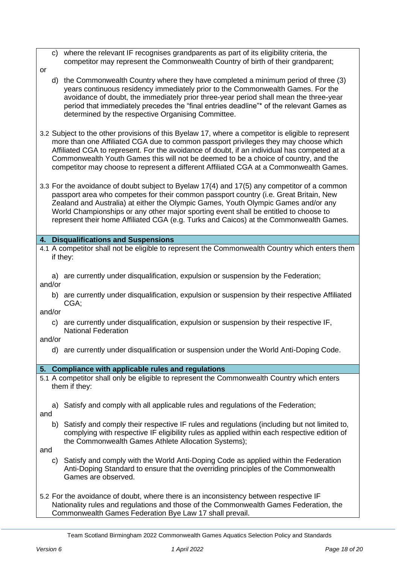- c) where the relevant IF recognises grandparents as part of its eligibility criteria, the competitor may represent the Commonwealth Country of birth of their grandparent;
- or
	- d) the Commonwealth Country where they have completed a minimum period of three (3) years continuous residency immediately prior to the Commonwealth Games. For the avoidance of doubt, the immediately prior three-year period shall mean the three-year period that immediately precedes the "final entries deadline"\* of the relevant Games as determined by the respective Organising Committee.
- 3.2 Subject to the other provisions of this Byelaw 17, where a competitor is eligible to represent more than one Affiliated CGA due to common passport privileges they may choose which Affiliated CGA to represent. For the avoidance of doubt, if an individual has competed at a Commonwealth Youth Games this will not be deemed to be a choice of country, and the competitor may choose to represent a different Affiliated CGA at a Commonwealth Games.
- 3.3 For the avoidance of doubt subject to Byelaw 17(4) and 17(5) any competitor of a common passport area who competes for their common passport country (i.e. Great Britain, New Zealand and Australia) at either the Olympic Games, Youth Olympic Games and/or any World Championships or any other major sporting event shall be entitled to choose to represent their home Affiliated CGA (e.g. Turks and Caicos) at the Commonwealth Games.

#### **4. Disqualifications and Suspensions**

- 4.1 A competitor shall not be eligible to represent the Commonwealth Country which enters them if they:
	- a) are currently under disqualification, expulsion or suspension by the Federation;

and/or

b) are currently under disqualification, expulsion or suspension by their respective Affiliated CGA;

and/or

c) are currently under disqualification, expulsion or suspension by their respective IF, National Federation

and/or

d) are currently under disqualification or suspension under the World Anti-Doping Code.

#### **5. Compliance with applicable rules and regulations**

- 5.1 A competitor shall only be eligible to represent the Commonwealth Country which enters them if they:
	- a) Satisfy and comply with all applicable rules and regulations of the Federation;

and

b) Satisfy and comply their respective IF rules and regulations (including but not limited to, complying with respective IF eligibility rules as applied within each respective edition of the Commonwealth Games Athlete Allocation Systems);

and

- c) Satisfy and comply with the World Anti-Doping Code as applied within the Federation Anti-Doping Standard to ensure that the overriding principles of the Commonwealth Games are observed.
- 5.2 For the avoidance of doubt, where there is an inconsistency between respective IF Nationality rules and regulations and those of the Commonwealth Games Federation, the Commonwealth Games Federation Bye Law 17 shall prevail.

Team Scotland Birmingham 2022 Commonwealth Games Aquatics Selection Policy and Standards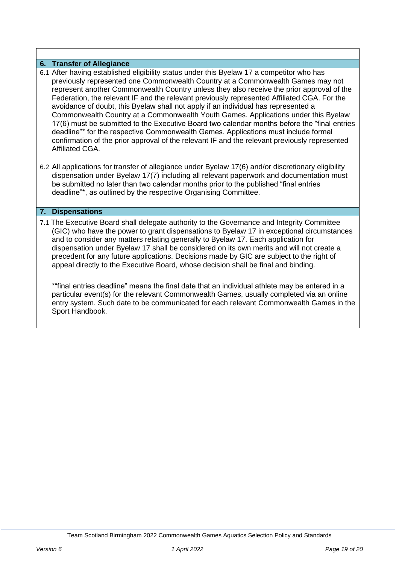#### **6. Transfer of Allegiance**

- 6.1 After having established eligibility status under this Byelaw 17 a competitor who has previously represented one Commonwealth Country at a Commonwealth Games may not represent another Commonwealth Country unless they also receive the prior approval of the Federation, the relevant IF and the relevant previously represented Affiliated CGA. For the avoidance of doubt, this Byelaw shall not apply if an individual has represented a Commonwealth Country at a Commonwealth Youth Games. Applications under this Byelaw 17(6) must be submitted to the Executive Board two calendar months before the "final entries deadline"\* for the respective Commonwealth Games. Applications must include formal confirmation of the prior approval of the relevant IF and the relevant previously represented Affiliated CGA.
- 6.2 All applications for transfer of allegiance under Byelaw 17(6) and/or discretionary eligibility dispensation under Byelaw 17(7) including all relevant paperwork and documentation must be submitted no later than two calendar months prior to the published "final entries deadline"\*, as outlined by the respective Organising Committee.

#### **7. Dispensations**

7.1 The Executive Board shall delegate authority to the Governance and Integrity Committee (GIC) who have the power to grant dispensations to Byelaw 17 in exceptional circumstances and to consider any matters relating generally to Byelaw 17. Each application for dispensation under Byelaw 17 shall be considered on its own merits and will not create a precedent for any future applications. Decisions made by GIC are subject to the right of appeal directly to the Executive Board, whose decision shall be final and binding.

\*"final entries deadline" means the final date that an individual athlete may be entered in a particular event(s) for the relevant Commonwealth Games, usually completed via an online entry system. Such date to be communicated for each relevant Commonwealth Games in the Sport Handbook.